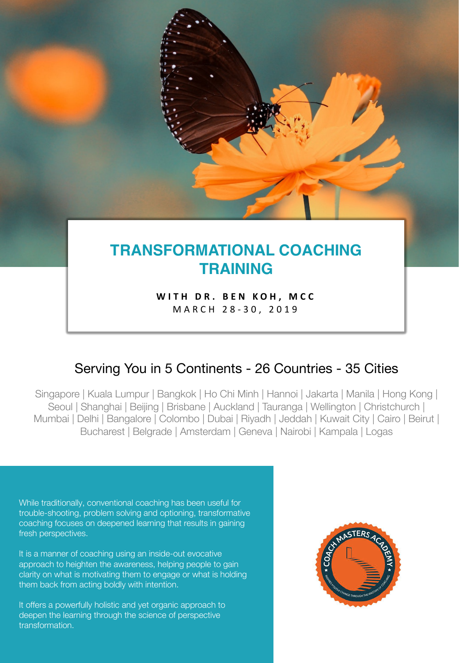# **TRANSFORMATIONAL COACHING TRAINING**

**WITH DR. BEN KOH, MCC** MARCH 2 8 - 30, 2019

## Serving You in 5 Continents - 26 Countries - 35 Cities

Singapore | Kuala Lumpur | Bangkok | Ho Chi Minh | Hannoi | Jakarta | Manila | Hong Kong | Seoul | Shanghai | Beijing | Brisbane | Auckland | Tauranga | Wellington | Christchurch | Mumbai | Delhi | Bangalore | Colombo | Dubai | Riyadh | Jeddah | Kuwait City | Cairo | Beirut | Bucharest | Belgrade | Amsterdam | Geneva | Nairobi | Kampala | Logas

While traditionally, conventional coaching has been useful for trouble-shooting, problem solving and optioning, transformative coaching focuses on deepened learning that results in gaining fresh perspectives.

It is a manner of coaching using an inside-out evocative approach to heighten the awareness, helping people to gain clarity on what is motivating them to engage or what is holding them back from acting boldly with intention.

It offers a powerfully holistic and yet organic approach to deepen the learning through the science of perspective transformation.